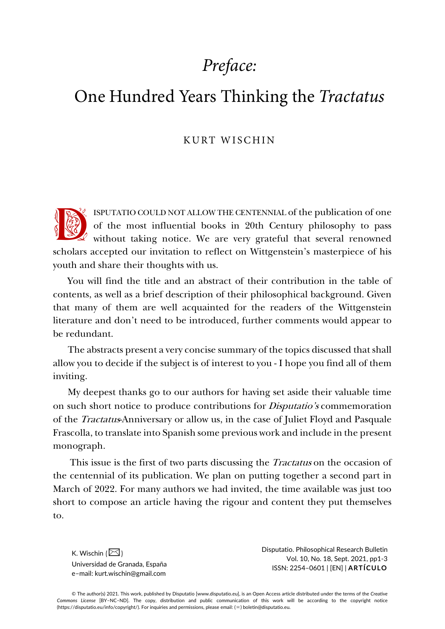# *Preface:*

## One Hundred Years Thinking the *Tractatus*

#### KURT WISCHIN

ISPUTATIO COULD NOT ALLOW THE CENTENNIAL of the publication of one of the most influential books in 20th Century philosophy to pass without taking notice. We are very grateful that several renowned scholars accepted our invitation to reflect on Wittgenstein's masterpiece of his youth and share their thoughts with us. 18

You will find the title and an abstract of their contribution in the table of contents, as well as a brief description of their philosophical background. Given that many of them are well acquainted for the readers of the Wittgenstein literature and don't need to be introduced, further comments would appear to be redundant.

The abstracts present a very concise summary of the topics discussed that shall allow you to decide if the subject is of interest to you - I hope you find all of them inviting.

My deepest thanks go to our authors for having set aside their valuable time on such short notice to produce contributions for *Disputatio's* commemoration of the Tractatus-Anniversary or allow us, in the case of Juliet Floyd and Pasquale Frascolla, to translate into Spanish some previous work and include in the present monograph.

This issue is the first of two parts discussing the *Tractatus* on the occasion of the centennial of its publication. We plan on putting together a second part in March of 2022. For many authors we had invited, the time available was just too short to compose an article having the rigour and content they put themselves to.

K. Wischin  $(\boxed{\geq}$ ) Universidad de Granada, España e–mail: kurt.wischin@gmail.com

Disputatio. Philosophical Research Bulletin Vol. 10, No. 18, Sept. 2021, pp1-3 ISSN: 2254–0601 | [EN] | **ARTÍCULO**

© The author(s) 2021. This work, published by Disputatio [www.disputatio.eu], is an Open Access article distributed under the terms of the *Creative Commons License* [BY–NC–ND]. The copy, distribution and public communication of this work will be according to the copyright notice (https://disputatio.eu/info/copyright/). For inquiries and permissions, please email: (✉) boletin@disputatio.eu.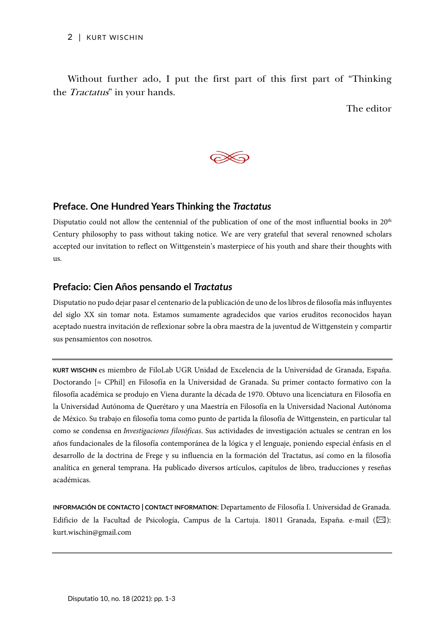Without further ado, I put the first part of this first part of "Thinking the Tractatus" in your hands.

The editor



## **Preface. One Hundred Years Thinking the** *Tractatus*

Disputatio could not allow the centennial of the publication of one of the most influential books in  $20<sup>th</sup>$ Century philosophy to pass without taking notice. We are very grateful that several renowned scholars accepted our invitation to reflect on Wittgenstein's masterpiece of his youth and share their thoughts with us.

## **Prefacio: Cien Años pensando el** *Tractatus*

Disputatio no pudo dejar pasar el centenario de la publicación de uno de los libros de filosofía más influyentes del siglo XX sin tomar nota. Estamos sumamente agradecidos que varios eruditos reconocidos hayan aceptado nuestra invitación de reflexionar sobre la obra maestra de la juventud de Wittgenstein y compartir sus pensamientos con nosotros.

**KURT WISCHIN** es miembro de FiloLab UGR Unidad de Excelencia de la Universidad de Granada, España. Doctorando [≈ CPhil] en Filosofía en la Universidad de Granada. Su primer contacto formativo con la filosofía académica se produjo en Viena durante la década de 1970. Obtuvo una licenciatura en Filosofía en la Universidad Autónoma de Querétaro y una Maestría en Filosofía en la Universidad Nacional Autónoma de México. Su trabajo en filosofía toma como punto de partida la filosofía de Wittgenstein, en particular tal como se condensa en *Investigaciones filosóficas*. Sus actividades de investigación actuales se centran en los años fundacionales de la filosofía contemporánea de la lógica y el lenguaje, poniendo especial énfasis en el desarrollo de la doctrina de Frege y su influencia en la formación del Tractatus, así como en la filosofía analítica en general temprana. Ha publicado diversos artículos, capítulos de libro, traducciones y reseñas académicas.

**INFORMACIÓN DE CONTACTO | CONTACT INFORMATION**: Departamento de Filosofía I. Universidad de Granada. Edificio de la Facultad de Psicología, Campus de la Cartuja. 18011 Granada, España. e-mail  $(\boxtimes)$ : kurt.wischin@gmail.com